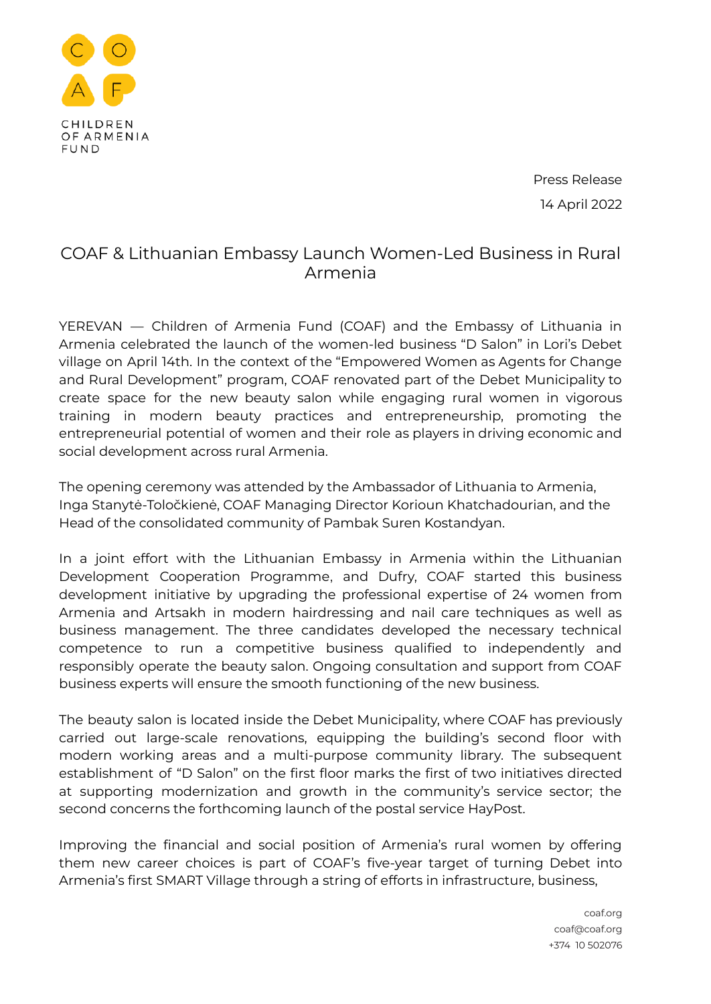

Press Release 14 April 2022

## COAF & Lithuanian Embassy Launch Women-Led Business in Rural Armenia

YEREVAN — Children of Armenia Fund (COAF) and the Embassy of Lithuania in Armenia celebrated the launch of the women-led business "D Salon" in Lori's Debet village on April 14th. In the context of the "Empowered Women as Agents for Change and Rural Development" program, COAF renovated part of the Debet Municipality to create space for the new beauty salon while engaging rural women in vigorous training in modern beauty practices and entrepreneurship, promoting the entrepreneurial potential of women and their role as players in driving economic and social development across rural Armenia.

The opening ceremony was attended by the Ambassador of Lithuania to Armenia, Inga Stanytė-Toločkienė, COAF Managing Director Korioun Khatchadourian, and the Head of the consolidated community of Pambak Suren Kostandyan.

In a joint effort with the Lithuanian Embassy in Armenia within the Lithuanian Development Cooperation Programme, and Dufry, COAF started this business development initiative by upgrading the professional expertise of 24 women from Armenia and Artsakh in modern hairdressing and nail care techniques as well as business management. The three candidates developed the necessary technical competence to run a competitive business qualified to independently and responsibly operate the beauty salon. Ongoing consultation and support from COAF business experts will ensure the smooth functioning of the new business.

The beauty salon is located inside the Debet Municipality, where COAF has previously carried out large-scale renovations, equipping the building's second floor with modern working areas and a multi-purpose community library. The subsequent establishment of "D Salon" on the first floor marks the first of two initiatives directed at supporting modernization and growth in the community's service sector; the second concerns the forthcoming launch of the postal service HayPost.

Improving the financial and social position of Armenia's rural women by offering them new career choices is part of COAF's five-year target of turning Debet into Armenia's first SMART Village through a string of efforts in infrastructure, business,